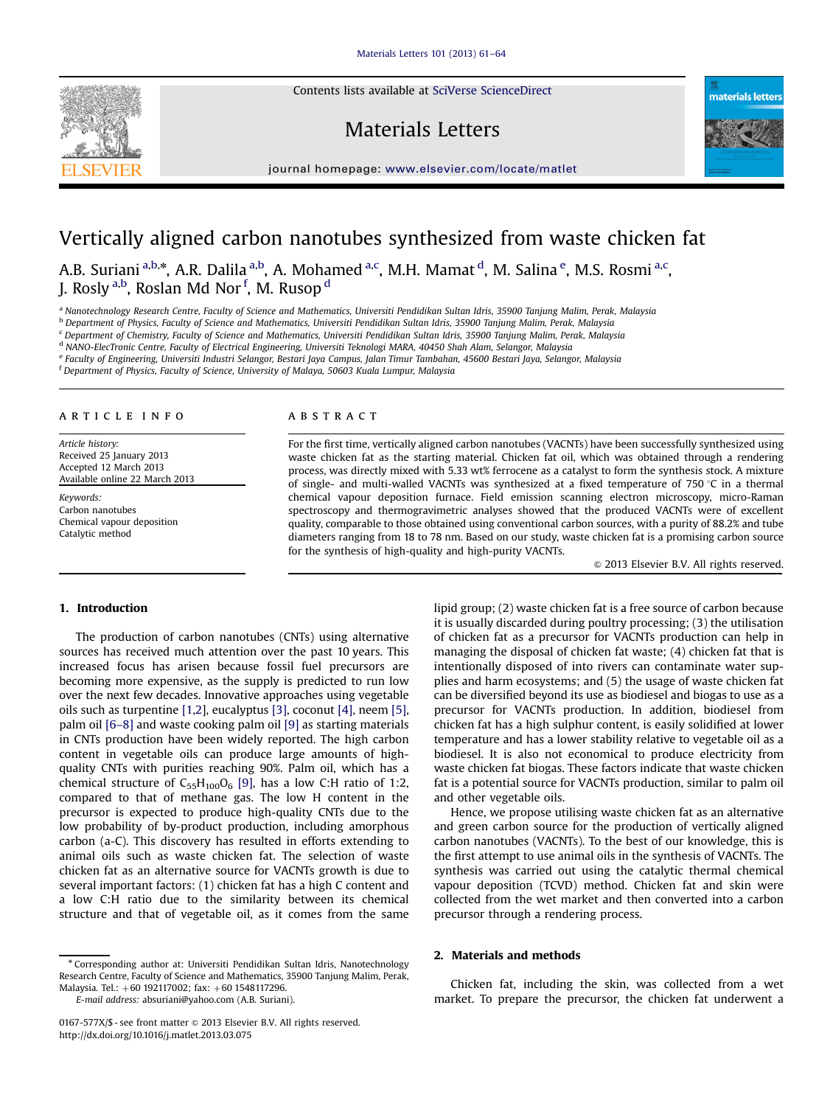Contents lists available at [SciVerse ScienceDirect](www.elsevier.com/locate/matlet)

# Materials Letters





# Vertically aligned carbon nanotubes synthesized from waste chicken fat

A.B. Suriani <sup>a,b,</sup>\*, A.R. Dalila <sup>a,b</sup>, A. Mohamed <sup>a,c</sup>, M.H. Mamat <sup>d</sup>, M. Salina <sup>e</sup>, M.S. Rosmi <sup>a,c</sup>, J. Rosly <sup>a,b</sup>, Roslan Md Nor <sup>f</sup>, M. Rusop <sup>d</sup>

<sup>a</sup> Nanotechnology Research Centre, Faculty of Science and Mathematics, Universiti Pendidikan Sultan Idris, 35900 Tanjung Malim, Perak, Malaysia

<sup>b</sup> Department of Physics, Faculty of Science and Mathematics, Universiti Pendidikan Sultan Idris, 35900 Tanjung Malim, Perak, Malaysia

<sup>c</sup> Department of Chemistry, Faculty of Science and Mathematics, Universiti Pendidikan Sultan Idris, 35900 Tanjung Malim, Perak, Malaysia

<sup>d</sup> NANO-ElecTronic Centre, Faculty of Electrical Engineering, Universiti Teknologi MARA, 40450 Shah Alam, Selangor, Malaysia

<sup>e</sup> Faculty of Engineering, Universiti Industri Selangor, Bestari Jaya Campus, Jalan Timur Tambahan, 45600 Bestari Jaya, Selangor, Malaysia

<sup>f</sup> Department of Physics, Faculty of Science, University of Malaya, 50603 Kuala Lumpur, Malaysia

#### article info

Article history: Received 25 January 2013 Accepted 12 March 2013 Available online 22 March 2013

Keywords: Carbon nanotubes Chemical vapour deposition Catalytic method

# ABSTRACT

For the first time, vertically aligned carbon nanotubes (VACNTs) have been successfully synthesized using waste chicken fat as the starting material. Chicken fat oil, which was obtained through a rendering process, was directly mixed with 5.33 wt% ferrocene as a catalyst to form the synthesis stock. A mixture of single- and multi-walled VACNTs was synthesized at a fixed temperature of 750  $\degree$ C in a thermal chemical vapour deposition furnace. Field emission scanning electron microscopy, micro-Raman spectroscopy and thermogravimetric analyses showed that the produced VACNTs were of excellent quality, comparable to those obtained using conventional carbon sources, with a purity of 88.2% and tube diameters ranging from 18 to 78 nm. Based on our study, waste chicken fat is a promising carbon source for the synthesis of high-quality and high-purity VACNTs.

 $\odot$  2013 Elsevier B.V. All rights reserved.

#### 1. Introduction

The production of carbon nanotubes (CNTs) using alternative sources has received much attention over the past 10 years. This increased focus has arisen because fossil fuel precursors are becoming more expensive, as the supply is predicted to run low over the next few decades. Innovative approaches using vegetable oils such as turpentine [\[1,2](#page-2-0)], eucalyptus [\[3\],](#page-2-0) coconut [\[4\]](#page-2-0), neem [\[5\],](#page-2-0) palm oil [6–[8\]](#page-3-0) and waste cooking palm oil [\[9\]](#page-3-0) as starting materials in CNTs production have been widely reported. The high carbon content in vegetable oils can produce large amounts of highquality CNTs with purities reaching 90%. Palm oil, which has a chemical structure of  $C_{55}H_{100}O_6$  [\[9\]](#page-3-0), has a low C:H ratio of 1:2, compared to that of methane gas. The low H content in the precursor is expected to produce high-quality CNTs due to the low probability of by-product production, including amorphous carbon (a-C). This discovery has resulted in efforts extending to animal oils such as waste chicken fat. The selection of waste chicken fat as an alternative source for VACNTs growth is due to several important factors: (1) chicken fat has a high C content and a low C:H ratio due to the similarity between its chemical structure and that of vegetable oil, as it comes from the same

<sup>n</sup> Corresponding author at: Universiti Pendidikan Sultan Idris, Nanotechnology Research Centre, Faculty of Science and Mathematics, 35900 Tanjung Malim, Perak, Malaysia. Tel.: +60 192117002; fax: +60 1548117296.

E-mail address: [absuriani@yahoo.com \(A.B. Suriani\)](mailto:absuriani@yahoo.com).

lipid group; (2) waste chicken fat is a free source of carbon because it is usually discarded during poultry processing; (3) the utilisation of chicken fat as a precursor for VACNTs production can help in managing the disposal of chicken fat waste; (4) chicken fat that is intentionally disposed of into rivers can contaminate water supplies and harm ecosystems; and (5) the usage of waste chicken fat can be diversified beyond its use as biodiesel and biogas to use as a precursor for VACNTs production. In addition, biodiesel from chicken fat has a high sulphur content, is easily solidified at lower temperature and has a lower stability relative to vegetable oil as a biodiesel. It is also not economical to produce electricity from waste chicken fat biogas. These factors indicate that waste chicken fat is a potential source for VACNTs production, similar to palm oil and other vegetable oils.

Hence, we propose utilising waste chicken fat as an alternative and green carbon source for the production of vertically aligned carbon nanotubes (VACNTs). To the best of our knowledge, this is the first attempt to use animal oils in the synthesis of VACNTs. The synthesis was carried out using the catalytic thermal chemical vapour deposition (TCVD) method. Chicken fat and skin were collected from the wet market and then converted into a carbon precursor through a rendering process.

# 2. Materials and methods

Chicken fat, including the skin, was collected from a wet market. To prepare the precursor, the chicken fat underwent a

<sup>0167-577</sup>X/\$ - see front matter  $\circ$  2013 Elsevier B.V. All rights reserved. <http://dx.doi.org/10.1016/j.matlet.2013.03.075>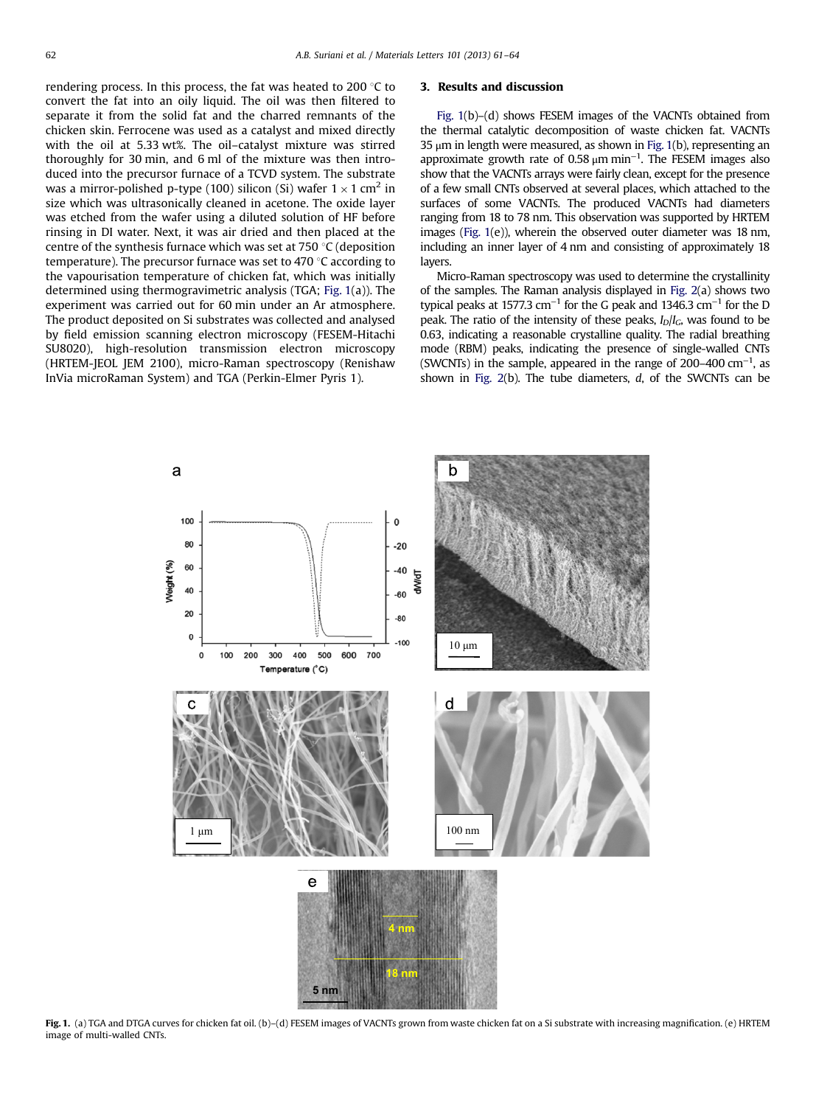rendering process. In this process, the fat was heated to 200 $\degree$ C to convert the fat into an oily liquid. The oil was then filtered to separate it from the solid fat and the charred remnants of the chicken skin. Ferrocene was used as a catalyst and mixed directly with the oil at 5.33 wt%. The oil–catalyst mixture was stirred thoroughly for 30 min, and 6 ml of the mixture was then introduced into the precursor furnace of a TCVD system. The substrate was a mirror-polished p-type (100) silicon (Si) wafer  $1 \times 1$  cm<sup>2</sup> in size which was ultrasonically cleaned in acetone. The oxide layer was etched from the wafer using a diluted solution of HF before rinsing in DI water. Next, it was air dried and then placed at the centre of the synthesis furnace which was set at  $750\textdegree C$  (deposition temperature). The precursor furnace was set to 470  $\degree$ C according to the vapourisation temperature of chicken fat, which was initially determined using thermogravimetric analysis (TGA; Fig. 1(a)). The experiment was carried out for 60 min under an Ar atmosphere. The product deposited on Si substrates was collected and analysed by field emission scanning electron microscopy (FESEM-Hitachi SU8020), high-resolution transmission electron microscopy (HRTEM-JEOL JEM 2100), micro-Raman spectroscopy (Renishaw InVia microRaman System) and TGA (Perkin-Elmer Pyris 1).

#### 3. Results and discussion

Fig. 1(b)–(d) shows FESEM images of the VACNTs obtained from the thermal catalytic decomposition of waste chicken fat. VACNTs 35  $\mu$ m in length were measured, as shown in Fig. 1(b), representing an approximate growth rate of 0.58  $\mu$ m min<sup>-1</sup>. The FESEM images also show that the VACNTs arrays were fairly clean, except for the presence of a few small CNTs observed at several places, which attached to the surfaces of some VACNTs. The produced VACNTs had diameters ranging from 18 to 78 nm. This observation was supported by HRTEM images (Fig. 1(e)), wherein the observed outer diameter was 18 nm, including an inner layer of 4 nm and consisting of approximately 18 layers.

Micro-Raman spectroscopy was used to determine the crystallinity of the samples. The Raman analysis displayed in [Fig. 2\(](#page-2-0)a) shows two typical peaks at 1577.3 cm<sup>-1</sup> for the G peak and 1346.3 cm<sup>-1</sup> for the D peak. The ratio of the intensity of these peaks,  $I_D/I_C$ , was found to be 0.63, indicating a reasonable crystalline quality. The radial breathing mode (RBM) peaks, indicating the presence of single-walled CNTs (SWCNTs) in the sample, appeared in the range of  $200-400$  cm<sup>-1</sup>, as shown in Fig.  $2(b)$ . The tube diameters,  $d$ , of the SWCNTs can be



Fig. 1. (a) TGA and DTGA curves for chicken fat oil. (b)-(d) FESEM images of VACNTs grown from waste chicken fat on a Si substrate with increasing magnification. (e) HRTEM image of multi-walled CNTs.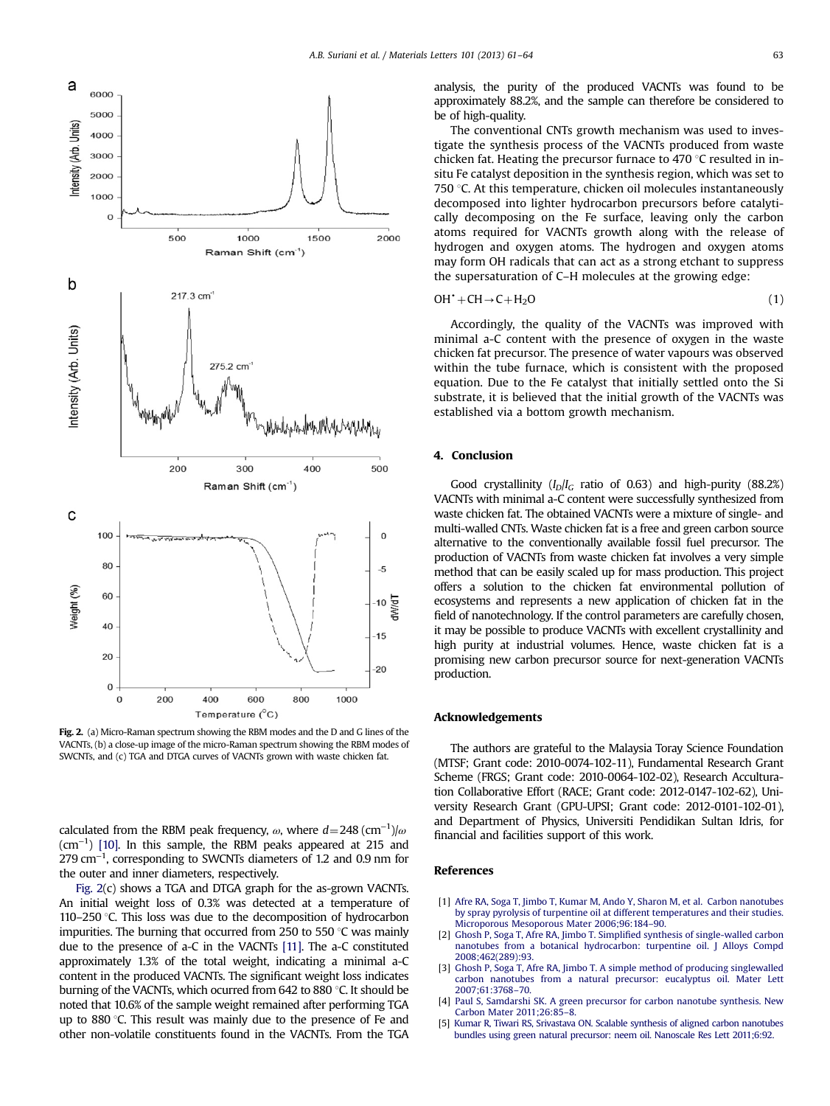<span id="page-2-0"></span>

Fig. 2. (a) Micro-Raman spectrum showing the RBM modes and the D and G lines of the VACNTs, (b) a close-up image of the micro-Raman spectrum showing the RBM modes of SWCNTs, and (c) TGA and DTGA curves of VACNTs grown with waste chicken fat.

calculated from the RBM peak frequency,  $\omega$ , where  $d = 248 \, (\text{cm}^{-1})/\omega$ (cm−<sup>1</sup> ) [\[10\].](#page-3-0) In this sample, the RBM peaks appeared at 215 and 279 cm<sup>-1</sup>, corresponding to SWCNTs diameters of 1.2 and 0.9 nm for the outer and inner diameters, respectively.

Fig. 2(c) shows a TGA and DTGA graph for the as-grown VACNTs. An initial weight loss of 0.3% was detected at a temperature of 110–250  $\degree$ C. This loss was due to the decomposition of hydrocarbon impurities. The burning that occurred from 250 to 550  $\degree$ C was mainly due to the presence of a-C in the VACNTs [\[11\]](#page-3-0). The a-C constituted approximately 1.3% of the total weight, indicating a minimal a-C content in the produced VACNTs. The significant weight loss indicates burning of the VACNTs, which ocurred from  $642$  to  $880$  °C. It should be noted that 10.6% of the sample weight remained after performing TGA up to 880 $\degree$ C. This result was mainly due to the presence of Fe and other non-volatile constituents found in the VACNTs. From the TGA analysis, the purity of the produced VACNTs was found to be approximately 88.2%, and the sample can therefore be considered to be of high-quality.

The conventional CNTs growth mechanism was used to investigate the synthesis process of the VACNTs produced from waste chicken fat. Heating the precursor furnace to 470  $\degree$ C resulted in insitu Fe catalyst deposition in the synthesis region, which was set to 750  $\degree$ C. At this temperature, chicken oil molecules instantaneously decomposed into lighter hydrocarbon precursors before catalytically decomposing on the Fe surface, leaving only the carbon atoms required for VACNTs growth along with the release of hydrogen and oxygen atoms. The hydrogen and oxygen atoms may form OH radicals that can act as a strong etchant to suppress the supersaturation of C–H molecules at the growing edge:

$$
OH^{\bullet} + CH \rightarrow C + H_2O \tag{1}
$$

Accordingly, the quality of the VACNTs was improved with minimal a-C content with the presence of oxygen in the waste chicken fat precursor. The presence of water vapours was observed within the tube furnace, which is consistent with the proposed equation. Due to the Fe catalyst that initially settled onto the Si substrate, it is believed that the initial growth of the VACNTs was established via a bottom growth mechanism.

# 4. Conclusion

Good crystallinity  $(I_D/I_G$  ratio of 0.63) and high-purity (88.2%) VACNTs with minimal a-C content were successfully synthesized from waste chicken fat. The obtained VACNTs were a mixture of single- and multi-walled CNTs. Waste chicken fat is a free and green carbon source alternative to the conventionally available fossil fuel precursor. The production of VACNTs from waste chicken fat involves a very simple method that can be easily scaled up for mass production. This project offers a solution to the chicken fat environmental pollution of ecosystems and represents a new application of chicken fat in the field of nanotechnology. If the control parameters are carefully chosen, it may be possible to produce VACNTs with excellent crystallinity and high purity at industrial volumes. Hence, waste chicken fat is a promising new carbon precursor source for next-generation VACNTs production.

#### Acknowledgements

The authors are grateful to the Malaysia Toray Science Foundation (MTSF; Grant code: 2010-0074-102-11), Fundamental Research Grant Scheme (FRGS; Grant code: 2010-0064-102-02), Research Acculturation Collaborative Effort (RACE; Grant code: 2012-0147-102-62), University Research Grant (GPU-UPSI; Grant code: 2012-0101-102-01), and Department of Physics, Universiti Pendidikan Sultan Idris, for financial and facilities support of this work.

# References

- [1] Afre RA, Soga T, Jimbo T, Kumar M, Ando Y, Sharon M, et al. Carbon nanotubes by spray pyrolysis of turpentine oil at different temperatures and their studies. Microporous Mesoporous Mater 2006;96:184–90.
- [2] Ghosh P, Soga T, Afre RA, Jimbo T. Simplified synthesis of single-walled carbon nanotubes from a botanical hydrocarbon: turpentine oil. J Alloys Compd 2008;462(289):93.
- [3] Ghosh P, Soga T, Afre RA, Jimbo T. A simple method of producing singlewalled carbon nanotubes from a natural precursor: eucalyptus oil. Mater Lett 2007;61:3768–70.
- [4] Paul S, Samdarshi SK. A green precursor for carbon nanotube synthesis. New Carbon Mater 2011;26:85–8.
- [5] Kumar R, Tiwari RS, Srivastava ON. Scalable synthesis of aligned carbon nanotubes bundles using green natural precursor: neem oil. Nanoscale Res Lett 2011;6:92.